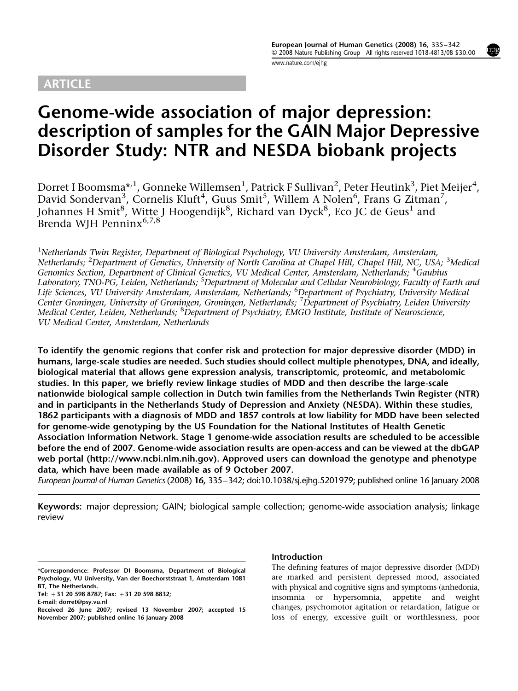## ARTICLE

[www.nature.com/ejhg](http://www.nature.com/ejhg)

# Genome-wide association of major depression: description of samples for the GAIN Major Depressive Disorder Study: NTR and NESDA biobank projects

Dorret I Boomsma $^{\star,1}$ , Gonneke Willemsen $^1$ , Patrick F Sullivan $^2$ , Peter Heutink $^3$ , Piet Meijer $^4$ , David Sondervan<sup>3</sup>, Cornelis Kluft<sup>4</sup>, Guus Smit<sup>5</sup>, Willem A Nolen<sup>6</sup>, Frans G Zitman<sup>7</sup>, Johannes H Smit<sup>8</sup>, Witte J Hoogendijk<sup>8</sup>, Richard van Dyck<sup>8</sup>, Eco JC de Geus<sup>1</sup> and Brenda WJH Penninx<sup>6,7,8</sup>

<sup>1</sup>Netherlands Twin Register, Department of Biological Psychology, VU University Amsterdam, Amsterdam, Netherlands; <sup>2</sup>Department of Genetics, University of North Carolina at Chapel Hill, Chapel Hill, NC, USA; <sup>3</sup>Medical Genomics Section, Department of Clinical Genetics, VU Medical Center, Amsterdam, Netherlands; <sup>4</sup>Gaubius Laboratory, TNO-PG, Leiden, Netherlands; <sup>5</sup>Department of Molecular and Cellular Neurobiology, Faculty of Earth and Life Sciences, VU University Amsterdam, Amsterdam, Netherlands; <sup>6</sup>Department of Psychiatry, University Medical Center Groningen, University of Groningen, Groningen, Netherlands; <sup>7</sup>Department of Psychiatry, Leiden University Medical Center, Leiden, Netherlands; <sup>8</sup>Department of Psychiatry, EMGO Institute, Institute of Neuroscience, VU Medical Center, Amsterdam, Netherlands

To identify the genomic regions that confer risk and protection for major depressive disorder (MDD) in humans, large-scale studies are needed. Such studies should collect multiple phenotypes, DNA, and ideally, biological material that allows gene expression analysis, transcriptomic, proteomic, and metabolomic studies. In this paper, we briefly review linkage studies of MDD and then describe the large-scale nationwide biological sample collection in Dutch twin families from the Netherlands Twin Register (NTR) and in participants in the Netherlands Study of Depression and Anxiety (NESDA). Within these studies, 1862 participants with a diagnosis of MDD and 1857 controls at low liability for MDD have been selected for genome-wide genotyping by the US Foundation for the National Institutes of Health Genetic Association Information Network. Stage 1 genome-wide association results are scheduled to be accessible before the end of 2007. Genome-wide association results are open-access and can be viewed at the dbGAP web portal (<http://www.ncbi.nlm.nih.gov>). Approved users can download the genotype and phenotype data, which have been made available as of 9 October 2007.

European Journal of Human Genetics (2008) 16, 335–342; doi:[10.1038/sj.ejhg.5201979;](http://dx.doi.org/10.1038/sj.ejhg.5201979) published online 16 January 2008

Keywords: major depression; GAIN; biological sample collection; genome-wide association analysis; linkage review

## Introduction

The defining features of major depressive disorder (MDD) are marked and persistent depressed mood, associated with physical and cognitive signs and symptoms (anhedonia, insomnia or hypersomnia, appetite and weight changes, psychomotor agitation or retardation, fatigue or loss of energy, excessive guilt or worthlessness, poor

<sup>\*</sup>Correspondence: Professor DI Boomsma, Department of Biological Psychology, VU University, Van der Boechorststraat 1, Amsterdam 1081 BT, The Netherlands.

Tel: +31 20 598 8787; Fax: +31 20 598 8832;

E-mail: [dorret@psy.vu.nl](mailto:dorret@psy.vu.nl)

Received 26 June 2007; revised 13 November 2007; accepted 15 November 2007; published online 16 January 2008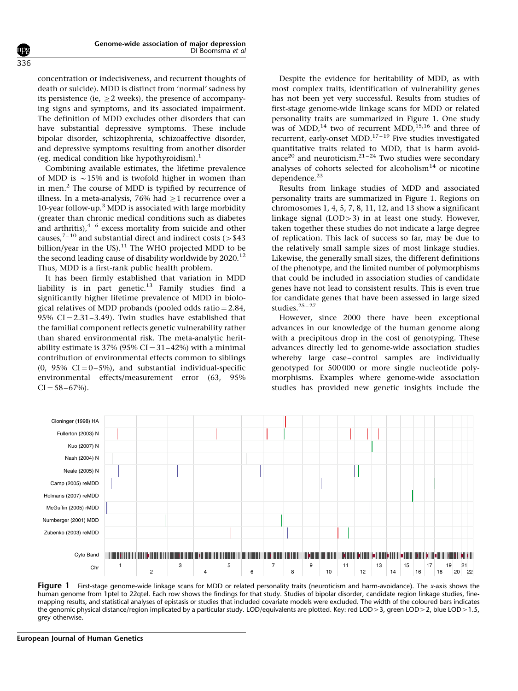concentration or indecisiveness, and recurrent thoughts of death or suicide). MDD is distinct from 'normal' sadness by its persistence (ie,  $\geq$ 2 weeks), the presence of accompanying signs and symptoms, and its associated impairment. The definition of MDD excludes other disorders that can have substantial depressive symptoms. These include bipolar disorder, schizophrenia, schizoaffective disorder, and depressive symptoms resulting from another disorder (eg, medical condition like hypothyroidism).<sup>[1](#page-6-0)</sup>

Combining available estimates, the lifetime prevalence of MDD is  $\sim$  15% and is twofold higher in women than in men[.2](#page-6-0) The course of MDD is typified by recurrence of illness. In a meta-analysis, 76% had  $\geq$ 1 recurrence over a 10-year follow-up.<sup>[3](#page-6-0)</sup> MDD is associated with large morbidity (greater than chronic medical conditions such as diabetes and arthritis), $4-6$  excess mortality from suicide and other causes,<sup>7-10</sup> and substantial direct and indirect costs ( $>$ \$43 billion/year in the US). $^{11}$  $^{11}$  $^{11}$  The WHO projected MDD to be the second leading cause of disability worldwide by  $2020$ .<sup>[12](#page-6-0)</sup> Thus, MDD is a first-rank public health problem.

It has been firmly established that variation in MDD liability is in part genetic.<sup>[13](#page-6-0)</sup> Family studies find a significantly higher lifetime prevalence of MDD in biological relatives of MDD probands (pooled odds ratio  $= 2.84$ , 95%  $CI = 2.31 - 3.49$ ). Twin studies have established that the familial component reflects genetic vulnerability rather than shared environmental risk. The meta-analytic heritability estimate is  $37\%$  (95% CI =  $31-42\%$ ) with a minimal contribution of environmental effects common to siblings  $(0, 95\% \text{ CI} = 0-5\%)$ , and substantial individual-specific environmental effects/measurement error (63, 95%  $CI = 58 - 67\%$ ).

Despite the evidence for heritability of MDD, as with most complex traits, identification of vulnerability genes has not been yet very successful. Results from studies of first-stage genome-wide linkage scans for MDD or related personality traits are summarized in Figure 1. One study was of MDD,<sup>14</sup> two of recurrent MDD,<sup>[15,16](#page-6-0)</sup> and three of recurrent, early-onset MDD.<sup>17-19</sup> Five studies investigated quantitative traits related to MDD, that is harm avoid-ance<sup>[20](#page-6-0)</sup> and neuroticism.<sup>21-24</sup> Two studies were secondary analyses of cohorts selected for alcoholism<sup>[14](#page-6-0)</sup> or nicotine dependence.[23](#page-6-0)

Results from linkage studies of MDD and associated personality traits are summarized in Figure 1. Regions on chromosomes 1, 4, 5, 7, 8, 11, 12, and 13 show a significant linkage signal  $(LOD > 3)$  in at least one study. However, taken together these studies do not indicate a large degree of replication. This lack of success so far, may be due to the relatively small sample sizes of most linkage studies. Likewise, the generally small sizes, the different definitions of the phenotype, and the limited number of polymorphisms that could be included in association studies of candidate genes have not lead to consistent results. This is even true for candidate genes that have been assessed in large sized studies. $25 - 27$ 

However, since 2000 there have been exceptional advances in our knowledge of the human genome along with a precipitous drop in the cost of genotyping. These advances directly led to genome-wide association studies whereby large case–control samples are individually genotyped for 500 000 or more single nucleotide polymorphisms. Examples where genome-wide association studies has provided new genetic insights include the



Figure 1 First-stage genome-wide linkage scans for MDD or related personality traits (neuroticism and harm-avoidance). The x-axis shows the human genome from 1ptel to 22qtel. Each row shows the findings for that study. Studies of bipolar disorder, candidate region linkage studies, finemapping results, and statistical analyses of epistasis or studies that included covariate models were excluded. The width of the coloured bars indicates the genomic physical distance/region implicated by a particular study. LOD/equivalents are plotted. Key: red LOD  $\geq$  3, green LOD  $\geq$  2, blue LOD  $\geq$  1.5, grey otherwise.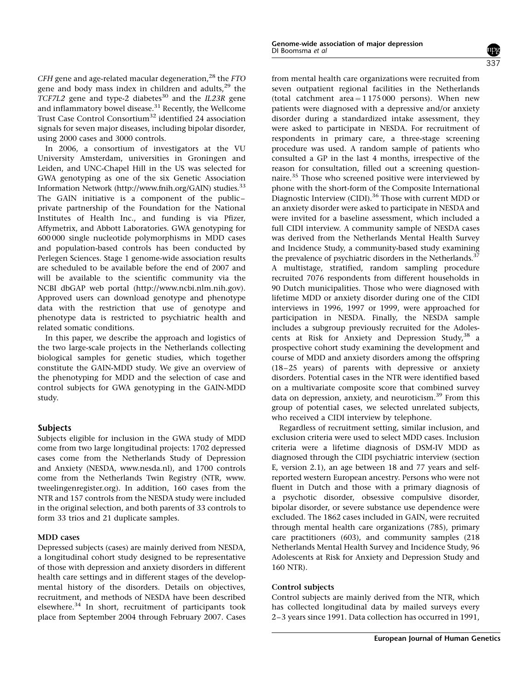$\mathit{CFH}$  gene and age-related macular degeneration,  $^{28}$  $^{28}$  $^{28}$  the  $\mathit{FTO}$ gene and body mass index in children and adults,<sup>[29](#page-6-0)</sup> the  $TCFZL2$  gene and type-2 diabetes<sup>[30](#page-6-0)</sup> and the IL23R gene and inflammatory bowel disease.<sup>[31](#page-6-0)</sup> Recently, the Wellcome Trust Case Control Consortium<sup>[32](#page-6-0)</sup> identified 24 association signals for seven major diseases, including bipolar disorder, using 2000 cases and 3000 controls.

In 2006, a consortium of investigators at the VU University Amsterdam, universities in Groningen and Leiden, and UNC-Chapel Hill in the US was selected for GWA genotyping as one of the six Genetic Association Information Network [\(http://www.fnih.org/GAIN\)](http://www.fnih.org/GAIN) studies[.33](#page-6-0) The GAIN initiative is a component of the public– private partnership of the Foundation for the National Institutes of Health Inc., and funding is via Pfizer, Affymetrix, and Abbott Laboratories. GWA genotyping for 600 000 single nucleotide polymorphisms in MDD cases and population-based controls has been conducted by Perlegen Sciences. Stage 1 genome-wide association results are scheduled to be available before the end of 2007 and will be available to the scientific community via the NCBI dbGAP web portal [\(http://www.ncbi.nlm.nih.gov\)](http://www.ncbi.nlm.nih.gov). Approved users can download genotype and phenotype data with the restriction that use of genotype and phenotype data is restricted to psychiatric health and related somatic conditions.

In this paper, we describe the approach and logistics of the two large-scale projects in the Netherlands collecting biological samples for genetic studies, which together constitute the GAIN-MDD study. We give an overview of the phenotyping for MDD and the selection of case and control subjects for GWA genotyping in the GAIN-MDD study.

#### Subjects

Subjects eligible for inclusion in the GWA study of MDD come from two large longitudinal projects: 1702 depressed cases come from the Netherlands Study of Depression and Anxiety (NESDA,<www.nesda.nl>), and 1700 controls come from the Netherlands Twin Registry (NTR, [www.](www.tweelingenregister.org) [tweelingenregister.org](www.tweelingenregister.org)). In addition, 160 cases from the NTR and 157 controls from the NESDA study were included in the original selection, and both parents of 33 controls to form 33 trios and 21 duplicate samples.

#### MDD cases

Depressed subjects (cases) are mainly derived from NESDA, a longitudinal cohort study designed to be representative of those with depression and anxiety disorders in different health care settings and in different stages of the developmental history of the disorders. Details on objectives, recruitment, and methods of NESDA have been described elsewhere.[34](#page-6-0) In short, recruitment of participants took place from September 2004 through February 2007. Cases from mental health care organizations were recruited from seven outpatient regional facilities in the Netherlands (total catchment area  $= 1175000$  persons). When new patients were diagnosed with a depressive and/or anxiety disorder during a standardized intake assessment, they were asked to participate in NESDA. For recruitment of respondents in primary care, a three-stage screening procedure was used. A random sample of patients who consulted a GP in the last 4 months, irrespective of the reason for consultation, filled out a screening questionnaire.[35](#page-6-0) Those who screened positive were interviewed by phone with the short-form of the Composite International Diagnostic Interview (CIDI).<sup>[36](#page-6-0)</sup> Those with current MDD or an anxiety disorder were asked to participate in NESDA and were invited for a baseline assessment, which included a full CIDI interview. A community sample of NESDA cases was derived from the Netherlands Mental Health Survey and Incidence Study, a community-based study examining the prevalence of psychiatric disorders in the Netherlands.<sup>37</sup> A multistage, stratified, random sampling procedure recruited 7076 respondents from different households in 90 Dutch municipalities. Those who were diagnosed with lifetime MDD or anxiety disorder during one of the CIDI interviews in 1996, 1997 or 1999, were approached for participation in NESDA. Finally, the NESDA sample includes a subgroup previously recruited for the Adoles-cents at Risk for Anxiety and Depression Study,<sup>[38](#page-7-0)</sup> a prospective cohort study examining the development and course of MDD and anxiety disorders among the offspring (18–25 years) of parents with depressive or anxiety disorders. Potential cases in the NTR were identified based on a multivariate composite score that combined survey data on depression, anxiety, and neuroticism.<sup>[39](#page-7-0)</sup> From this group of potential cases, we selected unrelated subjects, who received a CIDI interview by telephone.

Regardless of recruitment setting, similar inclusion, and exclusion criteria were used to select MDD cases. Inclusion criteria were a lifetime diagnosis of DSM-IV MDD as diagnosed through the CIDI psychiatric interview (section E, version 2.1), an age between 18 and 77 years and selfreported western European ancestry. Persons who were not fluent in Dutch and those with a primary diagnosis of a psychotic disorder, obsessive compulsive disorder, bipolar disorder, or severe substance use dependence were excluded. The 1862 cases included in GAIN, were recruited through mental health care organizations (785), primary care practitioners (603), and community samples (218 Netherlands Mental Health Survey and Incidence Study, 96 Adolescents at Risk for Anxiety and Depression Study and 160 NTR).

#### Control subjects

Control subjects are mainly derived from the NTR, which has collected longitudinal data by mailed surveys every 2–3 years since 1991. Data collection has occurred in 1991,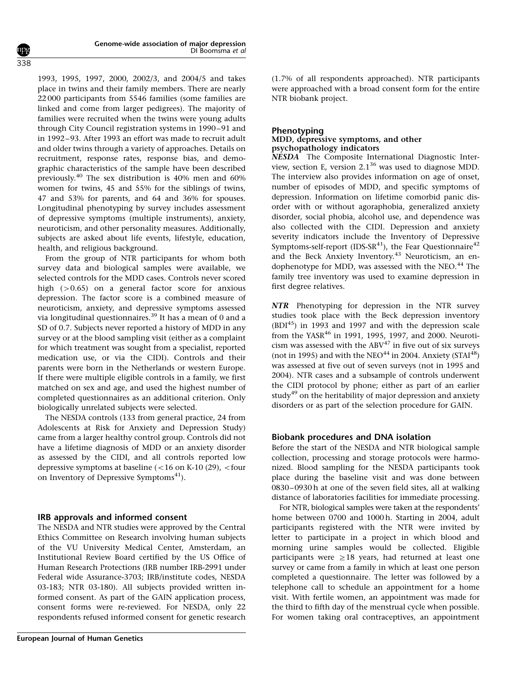1993, 1995, 1997, 2000, 2002/3, and 2004/5 and takes place in twins and their family members. There are nearly 22 000 participants from 5546 families (some families are linked and come from larger pedigrees). The majority of families were recruited when the twins were young adults through City Council registration systems in 1990–91 and in 1992–93. After 1993 an effort was made to recruit adult and older twins through a variety of approaches. Details on recruitment, response rates, response bias, and demographic characteristics of the sample have been described previously.[40](#page-7-0) The sex distribution is 40% men and 60% women for twins, 45 and 55% for the siblings of twins, 47 and 53% for parents, and 64 and 36% for spouses. Longitudinal phenotyping by survey includes assessment of depressive symptoms (multiple instruments), anxiety, neuroticism, and other personality measures. Additionally, subjects are asked about life events, lifestyle, education, health, and religious background.

From the group of NTR participants for whom both survey data and biological samples were available, we selected controls for the MDD cases. Controls never scored high  $(>0.65)$  on a general factor score for anxious depression. The factor score is a combined measure of neuroticism, anxiety, and depressive symptoms assessed via longitudinal questionnaires.[39](#page-7-0) It has a mean of 0 and a SD of 0.7. Subjects never reported a history of MDD in any survey or at the blood sampling visit (either as a complaint for which treatment was sought from a specialist, reported medication use, or via the CIDI). Controls and their parents were born in the Netherlands or western Europe. If there were multiple eligible controls in a family, we first matched on sex and age, and used the highest number of completed questionnaires as an additional criterion. Only biologically unrelated subjects were selected.

The NESDA controls (133 from general practice, 24 from Adolescents at Risk for Anxiety and Depression Study) came from a larger healthy control group. Controls did not have a lifetime diagnosis of MDD or an anxiety disorder as assessed by the CIDI, and all controls reported low depressive symptoms at baseline  $(<16$  on K-10 (29),  $<$  four on Inventory of Depressive Symptoms<sup>[41](#page-7-0)</sup>).

#### IRB approvals and informed consent

The NESDA and NTR studies were approved by the Central Ethics Committee on Research involving human subjects of the VU University Medical Center, Amsterdam, an Institutional Review Board certified by the US Office of Human Research Protections (IRB number IRB-2991 under Federal wide Assurance-3703; IRB/institute codes, NESDA 03-183; NTR 03-180). All subjects provided written informed consent. As part of the GAIN application process, consent forms were re-reviewed. For NESDA, only 22 respondents refused informed consent for genetic research (1.7% of all respondents approached). NTR participants were approached with a broad consent form for the entire NTR biobank project.

#### Phenotyping

#### MDD, depressive symptoms, and other psychopathology indicators

NESDA The Composite International Diagnostic Interview, section E, version 2.1[36](#page-6-0) was used to diagnose MDD. The interview also provides information on age of onset, number of episodes of MDD, and specific symptoms of depression. Information on lifetime comorbid panic disorder with or without agoraphobia, generalized anxiety disorder, social phobia, alcohol use, and dependence was also collected with the CIDI. Depression and anxiety severity indicators include the Inventory of Depressive Symptoms-self-report (IDS-SR<sup>[41](#page-7-0)</sup>), the Fear Questionnaire<sup>[42](#page-7-0)</sup> and the Beck Anxiety Inventory.<sup>[43](#page-7-0)</sup> Neuroticism, an endophenotype for MDD, was assessed with the NEO.<sup>44</sup> The family tree inventory was used to examine depression in first degree relatives.

NTR Phenotyping for depression in the NTR survey studies took place with the Beck depression inventory  $(BDI<sup>45</sup>)$  $(BDI<sup>45</sup>)$  $(BDI<sup>45</sup>)$  in 1993 and 1997 and with the depression scale from the YASR<sup>[46](#page-7-0)</sup> in 1991, 1995, 1997, and 2000. Neuroticism was assessed with the  $ABV<sup>47</sup>$  $ABV<sup>47</sup>$  $ABV<sup>47</sup>$  in five out of six surveys (not in 1995) and with the NEO $^{44}$  $^{44}$  $^{44}$  in 2004. Anxiety (STAI $^{48}$  $^{48}$  $^{48}$ ) was assessed at five out of seven surveys (not in 1995 and 2004). NTR cases and a subsample of controls underwent the CIDI protocol by phone; either as part of an earlier study<sup>[49](#page-7-0)</sup> on the heritability of major depression and anxiety disorders or as part of the selection procedure for GAIN.

## Biobank procedures and DNA isolation

Before the start of the NESDA and NTR biological sample collection, processing and storage protocols were harmonized. Blood sampling for the NESDA participants took place during the baseline visit and was done between 0830–0930 h at one of the seven field sites, all at walking distance of laboratories facilities for immediate processing.

For NTR, biological samples were taken at the respondents' home between 0700 and 1000 h. Starting in 2004, adult participants registered with the NTR were invited by letter to participate in a project in which blood and morning urine samples would be collected. Eligible participants were  $\geq 18$  years, had returned at least one survey or came from a family in which at least one person completed a questionnaire. The letter was followed by a telephone call to schedule an appointment for a home visit. With fertile women, an appointment was made for the third to fifth day of the menstrual cycle when possible. For women taking oral contraceptives, an appointment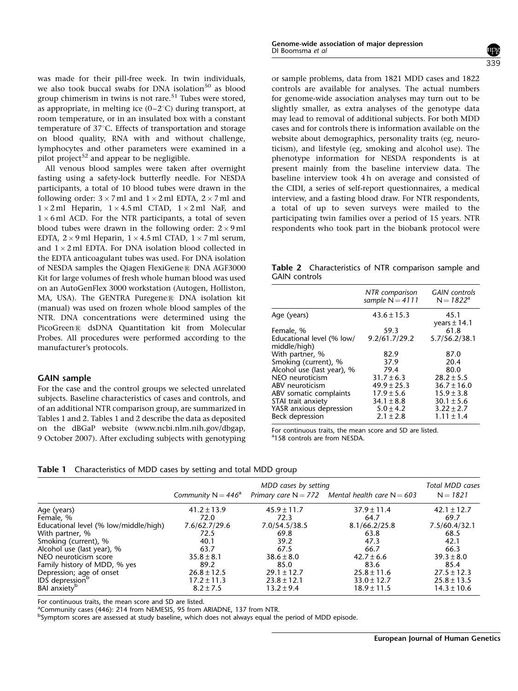<span id="page-4-0"></span>was made for their pill-free week. In twin individuals, we also took buccal swabs for DNA isolation<sup>[50](#page-7-0)</sup> as blood group chimerism in twins is not rare.<sup>[51](#page-7-0)</sup> Tubes were stored, as appropriate, in melting ice  $(0-2^{\circ}C)$  during transport, at room temperature, or in an insulated box with a constant temperature of 37°C. Effects of transportation and storage on blood quality, RNA with and without challenge, lymphocytes and other parameters were examined in a pilot project<sup>[52](#page-7-0)</sup> and appear to be negligible.

All venous blood samples were taken after overnight fasting using a safety-lock butterfly needle. For NESDA participants, a total of 10 blood tubes were drawn in the following order:  $3 \times 7$  ml and  $1 \times 2$  ml EDTA,  $2 \times 7$  ml and  $1 \times 2$  ml Heparin,  $1 \times 4.5$  ml CTAD,  $1 \times 2$  ml NaF, and  $1 \times 6$  ml ACD. For the NTR participants, a total of seven blood tubes were drawn in the following order:  $2 \times 9$  ml EDTA,  $2 \times 9$  ml Heparin,  $1 \times 4.5$  ml CTAD,  $1 \times 7$  ml serum, and  $1 \times 2$  ml EDTA. For DNA isolation blood collected in the EDTA anticoagulant tubes was used. For DNA isolation of NESDA samples the Qiagen FlexiGene® DNA AGF3000 Kit for large volumes of fresh whole human blood was used on an AutoGenFlex 3000 workstation (Autogen, Holliston, MA, USA). The GENTRA Puregene® DNA isolation kit (manual) was used on frozen whole blood samples of the NTR. DNA concentrations were determined using the PicoGreen® dsDNA Quantitation kit from Molecular Probes. All procedures were performed according to the manufacturer's protocols.

#### GAIN sample

For the case and the control groups we selected unrelated subjects. Baseline characteristics of cases and controls, and of an additional NTR comparison group, are summarized in Tables 1 and 2. Tables 1 and 2 describe the data as deposited on the dBGaP website [\(www.ncbi.nlm.nih.gov/dbgap,](www.ncbi.nlm.nih.gov/dbgap) 9 October 2007). After excluding subjects with genotyping or sample problems, data from 1821 MDD cases and 1822 controls are available for analyses. The actual numbers for genome-wide association analyses may turn out to be slightly smaller, as extra analyses of the genotype data may lead to removal of additional subjects. For both MDD cases and for controls there is information available on the website about demographics, personality traits (eg, neuroticism), and lifestyle (eg, smoking and alcohol use). The phenotype information for NESDA respondents is at present mainly from the baseline interview data. The baseline interview took 4 h on average and consisted of the CIDI, a series of self-report questionnaires, a medical interview, and a fasting blood draw. For NTR respondents, a total of up to seven surveys were mailed to the participating twin families over a period of 15 years. NTR respondents who took part in the biobank protocol were

Table 2 Characteristics of NTR comparison sample and GAIN controls

| NTR comparison<br>sample $N = 4111$ | <b>GAIN</b> controls<br>$N = 1822^a$ |
|-------------------------------------|--------------------------------------|
| $43.6 \pm 15.3$                     | 45.1<br>years $\pm$ 14.1             |
| 59.3                                | 61.8                                 |
| 9.2/61.7/29.2                       | 5.7/56.2/38.1                        |
| 82.9                                | 87.0                                 |
| 37.9                                | 20.4                                 |
| 79.4                                | 80.0                                 |
| $31.7 \pm 6.3$                      | $28.2 \pm 5.5$                       |
| $49.9 \pm 25.3$                     | $36.7 \pm 16.0$                      |
| $17.9 \pm 5.6$                      | $15.9 \pm 3.8$                       |
| $34.1 \pm 8.8$                      | $30.1 \pm 5.6$                       |
| $5.0 \pm 4.2$                       | $3.22 \pm 2.7$                       |
| $2.1 \pm 2.8$                       | $1.11 \pm 1.4$                       |
|                                     |                                      |

For continuous traits, the mean score and SD are listed. <sup>a</sup>158 controls are from NESDA.

|  | Table 1 Characteristics of MDD cases by setting and total MDD group |  |  |  |  |  |
|--|---------------------------------------------------------------------|--|--|--|--|--|
|--|---------------------------------------------------------------------|--|--|--|--|--|

|                                       | MDD cases by setting  |                 |                                                     | <b>Total MDD cases</b> |
|---------------------------------------|-----------------------|-----------------|-----------------------------------------------------|------------------------|
|                                       | Community $N = 446^a$ |                 | Primary care $N = 772$ Mental health care $N = 603$ | $N = 1821$             |
| Age (years)                           | $41.2 \pm 13.9$       | $45.9 \pm 11.7$ | $37.9 \pm 11.4$                                     | $42.1 \pm 12.7$        |
| Female, %                             | 72.0                  | 72.3            | 64.7                                                | 69.7                   |
| Educational level (% low/middle/high) | 7.6/62.7/29.6         | 7.0/54.5/38.5   | 8.1/66.2/25.8                                       | 7.5/60.4/32.1          |
| With partner, %                       | 72.5                  | 69.8            | 63.8                                                | 68.5                   |
| Smoking (current), %                  | 40.1                  | 39.2            | 47.3                                                | 42.1                   |
| Alcohol use (last year), %            | 63.7                  | 67.5            | 66.7                                                | 66.3                   |
| NEO neuroticism score                 | $35.8 \pm 8.1$        | $38.6 \pm 8.0$  | $42.7 \pm 6.6$                                      | $39.3 \pm 8.0$         |
| Family history of MDD, % yes          | 89.2                  | 85.0            | 83.6                                                | 85.4                   |
| Depression; age of onset              | $26.8 \pm 12.5$       | $29.1 \pm 12.7$ | $25.8 \pm 11.6$                                     | $27.5 \pm 12.3$        |
| IDS depression <sup>b</sup>           | $17.2 \pm 11.3$       | $23.8 \pm 12.1$ | $33.0 \pm 12.7$                                     | $25.8 \pm 13.5$        |
| BAI anxiety <sup>b</sup>              | $8.2 \pm 7.5$         | $13.2 \pm 9.4$  | $18.9 \pm 11.5$                                     | $14.3 \pm 10.6$        |

For continuous traits, the mean score and SD are listed.

<sup>a</sup>Community cases (446): 214 from NEMESIS, 95 from ARIADNE, 137 from NTR.

b Symptom scores are assessed at study baseline, which does not always equal the period of MDD episode.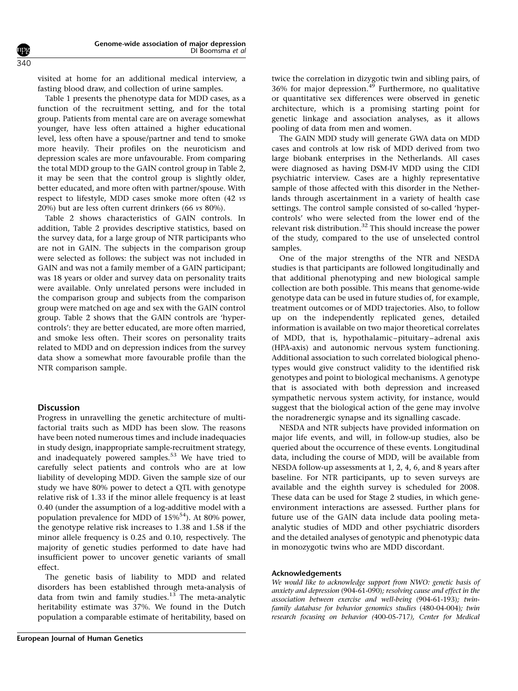visited at home for an additional medical interview, a fasting blood draw, and collection of urine samples.

[Table 1](#page-4-0) presents the phenotype data for MDD cases, as a function of the recruitment setting, and for the total group. Patients from mental care are on average somewhat younger, have less often attained a higher educational level, less often have a spouse/partner and tend to smoke more heavily. Their profiles on the neuroticism and depression scales are more unfavourable. From comparing the total MDD group to the GAIN control group in [Table 2,](#page-4-0) it may be seen that the control group is slightly older, better educated, and more often with partner/spouse. With respect to lifestyle, MDD cases smoke more often (42 vs 20%) but are less often current drinkers (66 vs 80%).

[Table 2](#page-4-0) shows characteristics of GAIN controls. In addition, [Table 2](#page-4-0) provides descriptive statistics, based on the survey data, for a large group of NTR participants who are not in GAIN. The subjects in the comparison group were selected as follows: the subject was not included in GAIN and was not a family member of a GAIN participant; was 18 years or older and survey data on personality traits were available. Only unrelated persons were included in the comparison group and subjects from the comparison group were matched on age and sex with the GAIN control group. [Table 2](#page-4-0) shows that the GAIN controls are 'hypercontrols': they are better educated, are more often married, and smoke less often. Their scores on personality traits related to MDD and on depression indices from the survey data show a somewhat more favourable profile than the NTR comparison sample.

#### **Discussion**

Progress in unravelling the genetic architecture of multifactorial traits such as MDD has been slow. The reasons have been noted numerous times and include inadequacies in study design, inappropriate sample-recruitment strategy, and inadequately powered samples.<sup>[53](#page-7-0)</sup> We have tried to carefully select patients and controls who are at low liability of developing MDD. Given the sample size of our study we have 80% power to detect a QTL with genotype relative risk of 1.33 if the minor allele frequency is at least 0.40 (under the assumption of a log-additive model with a population prevalence for MDD of  $15\%^{54}$ ). At 80% power, the genotype relative risk increases to 1.38 and 1.58 if the minor allele frequency is 0.25 and 0.10, respectively. The majority of genetic studies performed to date have had insufficient power to uncover genetic variants of small effect.

The genetic basis of liability to MDD and related disorders has been established through meta-analysis of data from twin and family studies. $13$  The meta-analytic heritability estimate was 37%. We found in the Dutch population a comparable estimate of heritability, based on twice the correlation in dizygotic twin and sibling pairs, of  $36\%$  for major depression.<sup>[49](#page-7-0)</sup> Furthermore, no qualitative or quantitative sex differences were observed in genetic architecture, which is a promising starting point for genetic linkage and association analyses, as it allows pooling of data from men and women.

The GAIN MDD study will generate GWA data on MDD cases and controls at low risk of MDD derived from two large biobank enterprises in the Netherlands. All cases were diagnosed as having DSM-IV MDD using the CIDI psychiatric interview. Cases are a highly representative sample of those affected with this disorder in the Netherlands through ascertainment in a variety of health case settings. The control sample consisted of so-called 'hypercontrols' who were selected from the lower end of the relevant risk distribution.<sup>[32](#page-6-0)</sup> This should increase the power of the study, compared to the use of unselected control samples.

One of the major strengths of the NTR and NESDA studies is that participants are followed longitudinally and that additional phenotyping and new biological sample collection are both possible. This means that genome-wide genotype data can be used in future studies of, for example, treatment outcomes or of MDD trajectories. Also, to follow up on the independently replicated genes, detailed information is available on two major theoretical correlates of MDD, that is, hypothalamic–pituitary–adrenal axis (HPA-axis) and autonomic nervous system functioning. Additional association to such correlated biological phenotypes would give construct validity to the identified risk genotypes and point to biological mechanisms. A genotype that is associated with both depression and increased sympathetic nervous system activity, for instance, would suggest that the biological action of the gene may involve the noradrenergic synapse and its signalling cascade.

NESDA and NTR subjects have provided information on major life events, and will, in follow-up studies, also be queried about the occurrence of these events. Longitudinal data, including the course of MDD, will be available from NESDA follow-up assessments at 1, 2, 4, 6, and 8 years after baseline. For NTR participants, up to seven surveys are available and the eighth survey is scheduled for 2008. These data can be used for Stage 2 studies, in which geneenvironment interactions are assessed. Further plans for future use of the GAIN data include data pooling metaanalytic studies of MDD and other psychiatric disorders and the detailed analyses of genotypic and phenotypic data in monozygotic twins who are MDD discordant.

#### Acknowledgements

We would like to acknowledge support from NWO: genetic basis of anxiety and depression (904-61-090); resolving cause and effect in the association between exercise and well-being (904-61-193); twinfamily database for behavior genomics studies (480-04-004); twin research focusing on behavior (400-05-717), Center for Medical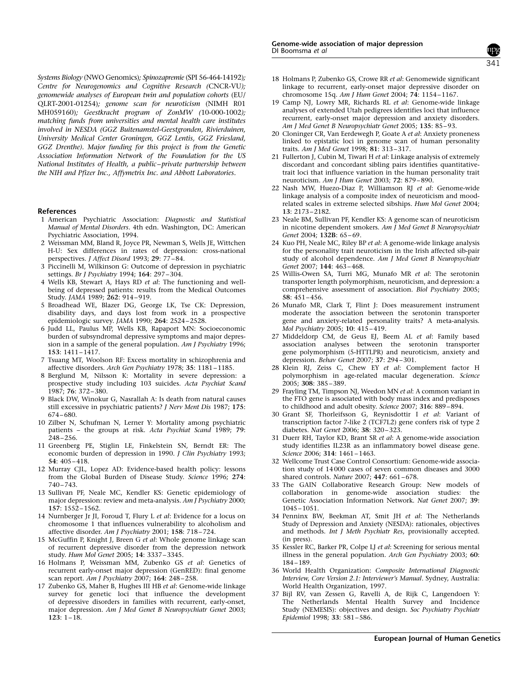<span id="page-6-0"></span>Systems Biology (NWO Genomics); Spinozapremie (SPI 56-464-14192); Centre for Neurogenomics and Cognitive Research (CNCR-VU); genomewide analyses of European twin and population cohorts (EU/ QLRT-2001-01254); genome scan for neuroticism (NIMH R01 MH059160); Geestkracht program of ZonMW (10-000-1002); matching funds from universities and mental health care institutes involved in NESDA (GGZ Buitenamstel-Geestgronden, Rivierduinen, University Medical Center Groningen, GGZ Lentis, GGZ Friesland, GGZ Drenthe). Major funding for this project is from the Genetic Association Information Network of the Foundation for the US National Institutes of Health, a public–private partnership between the NIH and Pfizer Inc., Affymetrix Inc. and Abbott Laboratories.

#### **References**

- 1 American Psychiatric Association: Diagnostic and Statistical Manual of Mental Disorders. 4th edn. Washington, DC: American Psychiatric Association, 1994.
- 2 Weissman MM, Bland R, Joyce PR, Newman S, Wells JE, Wittchen H-U: Sex differences in rates of depression: cross-national perspectives. J Affect Disord 1993; 29: 77-84.
- 3 Piccinelli M, Wilkinson G: Outcome of depression in psychiatric settings. Br J Psychiatry 1994; 164: 297–304.
- 4 Wells KB, Stewart A, Hays RD et al: The functioning and wellbeing of depressed patients: results from the Medical Outcomes Study. JAMA 1989; 262: 914–919.
- 5 Broadhead WE, Blazer DG, George LK, Tse CK: Depression, disability days, and days lost from work in a prospective epidemiologic survey. JAMA 1990; 264: 2524–2528.
- 6 Judd LL, Paulus MP, Wells KB, Rapaport MN: Socioeconomic burden of subsyndromal depressive symptoms and major depression in a sample of the general population. Am J Psychiatry 1996; 153: 1411–1417.
- 7 Tsuang MT, Woolson RF: Excess mortality in schizophrenia and affective disorders. Arch Gen Psychiatry 1978; 35: 1181–1185.
- 8 Berglund M, Nilsson K: Mortality in severe depression: a prospective study including 103 suicides. Acta Psychiat Scand 1987; 76: 372–380.
- 9 Black DW, Winokur G, Nasrallah A: Is death from natural causes still excessive in psychiatric patients? *J Nerv Ment Dis* 1987; 175: 674–680.
- 10 Zilber N, Schufman N, Lerner Y: Mortality among psychiatric patients – the groups at risk. Acta Psychiat Scand 1989; 79: 248–256.
- 11 Greenberg PE, Stiglin LE, Finkelstein SN, Berndt ER: The economic burden of depression in 1990. J Clin Psychiatry 1993; 54: 405–418.
- 12 Murray CJL, Lopez AD: Evidence-based health policy: lessons from the Global Burden of Disease Study. Science 1996; 274: 740–743.
- 13 Sullivan PF, Neale MC, Kendler KS: Genetic epidemiology of major depression: review and meta-analysis. Am J Psychiatry 2000; 157: 1552–1562.
- 14 Nurnberger Jr JI, Foroud T, Flury L et al: Evidence for a locus on chromosome 1 that influences vulnerability to alcoholism and affective disorder. Am J Psychiatry 2001; 158: 718–724.
- 15 McGuffin P, Knight J, Breen G et al: Whole genome linkage scan of recurrent depressive disorder from the depression network study. Hum Mol Genet 2005; 14: 3337–3345.
- 16 Holmans P, Weissman MM, Zubenko GS et al: Genetics of recurrent early-onset major depression (GenRED): final genome scan report. Am J Psychiatry 2007; 164: 248–258.
- 17 Zubenko GS, Maher B, Hughes III HB et al: Genome-wide linkage survey for genetic loci that influence the development of depressive disorders in families with recurrent, early-onset, major depression. Am J Med Genet B Neuropsychiatr Genet 2003;  $123: 1-18.$
- 18 Holmans P, Zubenko GS, Crowe RR et al: Genomewide significant linkage to recurrent, early-onset major depressive disorder on chromosome 15q. Am J Hum Genet 2004; 74: 1154–1167.
- 19 Camp NJ, Lowry MR, Richards RL et al: Genome-wide linkage analyses of extended Utah pedigrees identifies loci that influence recurrent, early-onset major depression and anxiety disorders. Am J Med Genet B Neuropsychiatr Genet 2005; 135: 85–93.
- 20 Cloninger CR, Van Eerdewegh P, Goate A et al: Anxiety proneness linked to epistatic loci in genome scan of human personality traits. Am J Med Genet 1998; 81: 313–317.
- 21 Fullerton J, Cubin M, Tiwari H et al: Linkage analysis of extremely discordant and concordant sibling pairs identifies quantitativetrait loci that influence variation in the human personality trait neuroticism. Am J Hum Genet 2003; 72: 879–890.
- 22 Nash MW, Huezo-Diaz P, Williamson RJ et al: Genome-wide linkage analysis of a composite index of neuroticism and moodrelated scales in extreme selected sibships. Hum Mol Genet 2004; 13: 2173–2182.
- 23 Neale BM, Sullivan PF, Kendler KS: A genome scan of neuroticism in nicotine dependent smokers. Am J Med Genet B Neuropsychiatr Genet 2004; 132B: 65-69.
- 24 Kuo PH, Neale MC, Riley BP et al: A genome-wide linkage analysis for the personality trait neuroticism in the Irish affected sib-pair study of alcohol dependence. Am J Med Genet B Neuropsychiatr Genet 2007; 144: 463–468.
- 25 Willis-Owen SA, Turri MG, Munafo MR et al: The serotonin transporter length polymorphism, neuroticism, and depression: a comprehensive assessment of association. Biol Psychiatry 2005; 58: 451–456.
- 26 Munafo MR, Clark T, Flint J: Does measurement instrument moderate the association between the serotonin transporter gene and anxiety-related personality traits? A meta-analysis. Mol Psychiatry 2005; 10: 415–419.
- 27 Middeldorp CM, de Geus EJ, Beem AL et al: Family based association analyses between the serotonin transporter gene polymorphism (5-HTTLPR) and neuroticism, anxiety and depression. Behav Genet 2007; 37: 294–301.
- 28 Klein RJ, Zeiss C, Chew EY et al: Complement factor H polymorphism in age-related macular degeneration. Science 2005; 308: 385–389.
- 29 Frayling TM, Timpson NJ, Weedon MN et al: A common variant in the FTO gene is associated with body mass index and predisposes to childhood and adult obesity. Science 2007; 316: 889–894.
- 30 Grant SF, Thorleifsson G, Reynisdottir I et al: Variant of transcription factor 7-like 2 (TCF7L2) gene confers risk of type 2 diabetes. Nat Genet 2006; 38: 320–323.
- 31 Duerr RH, Taylor KD, Brant SR et al: A genome-wide association study identifies IL23R as an inflammatory bowel disease gene. Science 2006; 314: 1461–1463.
- 32 Wellcome Trust Case Control Consortium: Genome-wide association study of 14 000 cases of seven common diseases and 3000 shared controls. Nature 2007; 447: 661–678.
- 33 The GAIN Collaborative Research Group: New models of collaboration in genome-wide association studies: the Genetic Association Information Network. Nat Genet 2007; 39: 1045–1051.
- 34 Penninx BW, Beekman AT, Smit JH et al: The Netherlands Study of Depression and Anxiety (NESDA): rationales, objectives and methods. Int J Meth Psychiatr Res, provisionally accepted. (in press).
- 35 Kessler RC, Barker PR, Colpe LJ et al: Screening for serious mental illness in the general population. Arch Gen Psychiatry 2003; 60: 184–189.
- 36 World Health Organization: Composite International Diagnostic Interview, Core Version 2.1: Interviewer's Manual. Sydney, Australia: World Health Organization, 1997.
- 37 Bijl RV, van Zessen G, Ravelli A, de Rijk C, Langendoen Y: The Netherlands Mental Health Survey and Incidence Study (NEMESIS): objectives and design. Soc Psychiatry Psychiatr Epidemiol 1998; 33: 581–586.